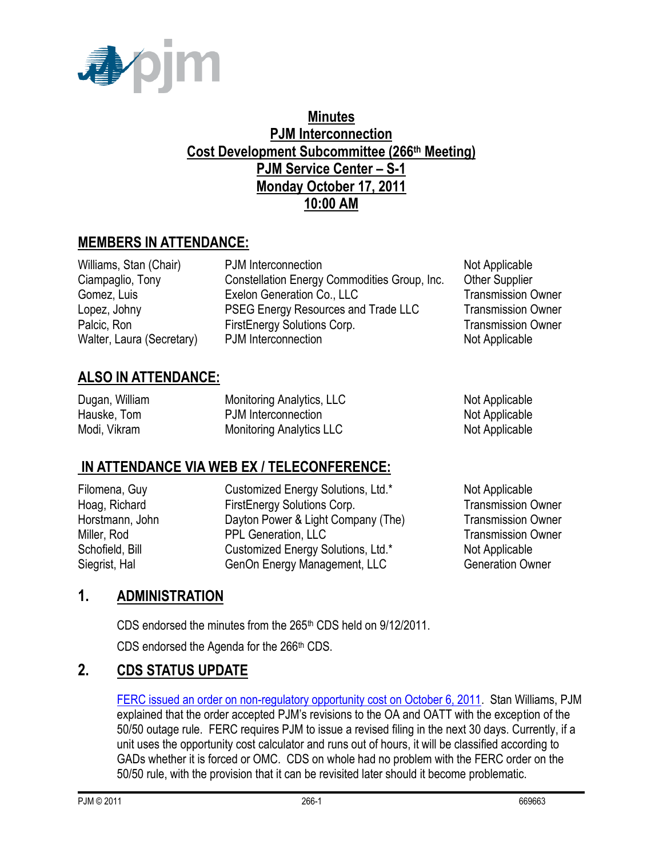

## **Minutes PJM Interconnection Cost Development Subcommittee (266th Meeting) PJM Service Center – S-1 Monday October 17, 2011 10:00 AM**

# **MEMBERS IN ATTENDANCE:**

Williams, Stan (Chair) PJM Interconnection Not Applicable Ciampaglio, Tony Constellation Energy Commodities Group, Inc. Other Supplier Gomez, Luis **Exelon Generation Co., LLC** Transmission Owner Lopez, Johny **PSEG Energy Resources and Trade LLC** Transmission Owner Palcic, Ron FirstEnergy Solutions Corp. Transmission Owner Walter, Laura (Secretary) PJM Interconnection Not Applicable

# **ALSO IN ATTENDANCE:**

| Dugan, William | <b>Monitoring Analytics, LLC</b> | Not Applicable |
|----------------|----------------------------------|----------------|
| Hauske, Tom    | PJM Interconnection              | Not Applicable |
| Modi, Vikram   | <b>Monitoring Analytics LLC</b>  | Not Applicable |

# **IN ATTENDANCE VIA WEB EX / TELECONFERENCE:**

Filomena, Guy Customized Energy Solutions, Ltd.\* Not Applicable Hoag, Richard **FirstEnergy Solutions Corp.** Transmission Owner Horstmann, John **Dayton Power & Light Company (The)** Transmission Owner Miller, Rod PPL Generation, LLC Transmission Owner Schofield, Bill **Customized Energy Solutions, Ltd.\*** Not Applicable Siegrist, Hal GenOn Energy Management, LLC Generation Owner

# **1. ADMINISTRATION**

CDS endorsed the minutes from the 265<sup>th</sup> CDS held on 9/12/2011.

CDS endorsed the Agenda for the  $266<sup>th</sup>$  CDS.

# **2. CDS STATUS UPDATE**

[FERC issued an order on non-regulatory opportunity cost on October 6, 2011.](http://elibrary.ferc.gov/idmws/common/OpenNat.asp?fileID=12786067) Stan Williams, PJM explained that the order accepted PJM's revisions to the OA and OATT with the exception of the 50/50 outage rule. FERC requires PJM to issue a revised filing in the next 30 days. Currently, if a unit uses the opportunity cost calculator and runs out of hours, it will be classified according to GADs whether it is forced or OMC. CDS on whole had no problem with the FERC order on the 50/50 rule, with the provision that it can be revisited later should it become problematic.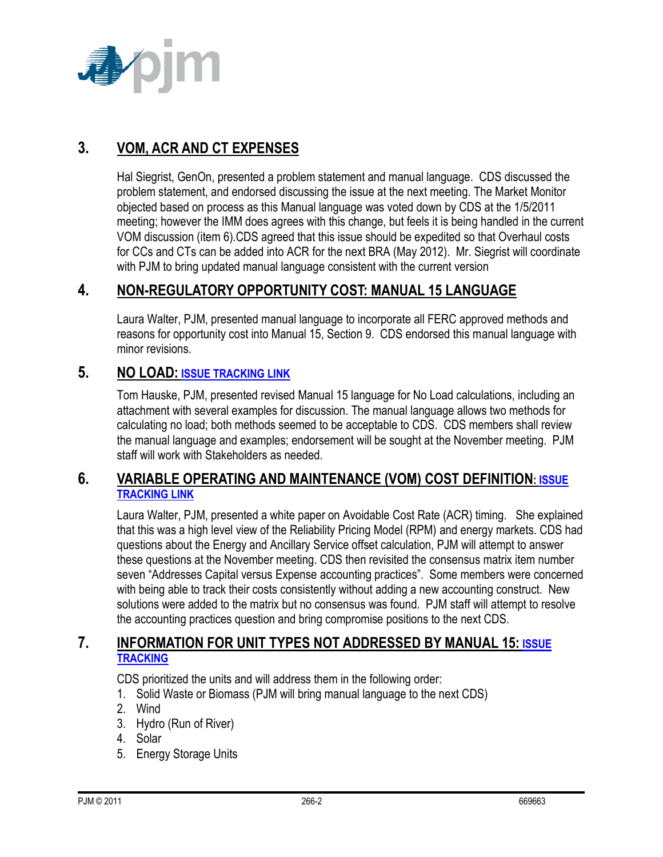

# **3. VOM, ACR AND CT EXPENSES**

Hal Siegrist, GenOn, presented a problem statement and manual language. CDS discussed the problem statement, and endorsed discussing the issue at the next meeting. The Market Monitor objected based on process as this Manual language was voted down by CDS at the 1/5/2011 meeting; however the IMM does agrees with this change, but feels it is being handled in the current VOM discussion (item 6).CDS agreed that this issue should be expedited so that Overhaul costs for CCs and CTs can be added into ACR for the next BRA (May 2012). Mr. Siegrist will coordinate with PJM to bring updated manual language consistent with the current version

# **4. NON-REGULATORY OPPORTUNITY COST: MANUAL 15 LANGUAGE**

Laura Walter, PJM, presented manual language to incorporate all FERC approved methods and reasons for opportunity cost into Manual 15, Section 9. CDS endorsed this manual language with minor revisions.

### **5. NO LOAD: [ISSUE TRACKING LINK](http://www.pjm.com/committees-and-groups/issue-tracking/issue-tracking-details.aspx?Issue=%7bB4390F49-FB83-4790-B1E7-89EF1844E073%7d)**

Tom Hauske, PJM, presented revised Manual 15 language for No Load calculations, including an attachment with several examples for discussion. The manual language allows two methods for calculating no load; both methods seemed to be acceptable to CDS. CDS members shall review the manual language and examples; endorsement will be sought at the November meeting. PJM staff will work with Stakeholders as needed.

### **6. VARIABLE OPERATING AND MAINTENANCE (VOM) COST DEFINITION: [ISSUE](http://www.pjm.com/committees-and-groups/issue-tracking/issue-tracking-details.aspx?Issue=%7b189C7210-9A23-4782-A5B5-634A6887CFE1%7d)  [TRACKING LINK](http://www.pjm.com/committees-and-groups/issue-tracking/issue-tracking-details.aspx?Issue=%7b189C7210-9A23-4782-A5B5-634A6887CFE1%7d)**

Laura Walter, PJM, presented a white paper on Avoidable Cost Rate (ACR) timing. She explained that this was a high level view of the Reliability Pricing Model (RPM) and energy markets. CDS had questions about the Energy and Ancillary Service offset calculation, PJM will attempt to answer these questions at the November meeting. CDS then revisited the consensus matrix item number seven "Addresses Capital versus Expense accounting practices". Some members were concerned with being able to track their costs consistently without adding a new accounting construct. New solutions were added to the matrix but no consensus was found. PJM staff will attempt to resolve the accounting practices question and bring compromise positions to the next CDS.

### **7. INFORMATION FOR UNIT TYPES NOT ADDRESSED BY MANUAL 15: [ISSUE](http://pjm.com/committees-and-groups/issue-tracking/issue-tracking-details.aspx?Issue=%7b3159C1F6-5498-412A-84F2-D4EA3F5834C6%7d)  [TRACKING](http://pjm.com/committees-and-groups/issue-tracking/issue-tracking-details.aspx?Issue=%7b3159C1F6-5498-412A-84F2-D4EA3F5834C6%7d)**

CDS prioritized the units and will address them in the following order:

- 1. Solid Waste or Biomass (PJM will bring manual language to the next CDS)
- 2. Wind
- 3. Hydro (Run of River)
- 4. Solar
- 5. Energy Storage Units